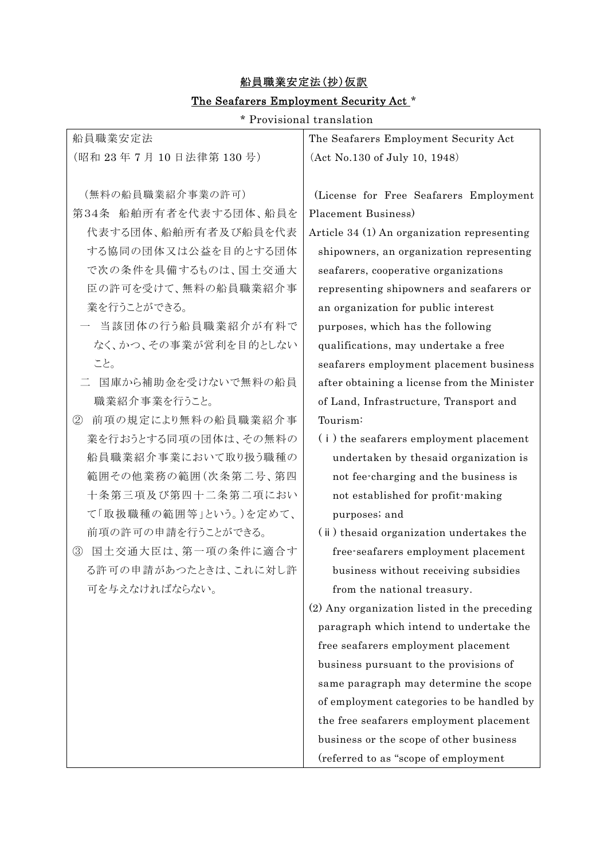## 船員職業安定法(抄)仮訳 The Seafarers Employment Security Act \*

\* Provisional translation

| 船員職業安定法                             | The Seafarers Employment Security Act        |
|-------------------------------------|----------------------------------------------|
| (昭和23年7月10日法律第130号)                 | (Act No.130 of July 10, 1948)                |
|                                     |                                              |
| (無料の船員職業紹介事業の許可)                    | (License for Free Seafarers Employment       |
| 第34条 船舶所有者を代表する団体、船員を               | Placement Business)                          |
| 代表する団体、船舶所有者及び船員を代表                 | Article 34 (1) An organization representing  |
| する協同の団体又は公益を目的とする団体                 | shipowners, an organization representing     |
| で次の条件を具備するものは、国土交通大                 | seafarers, cooperative organizations         |
| 臣の許可を受けて、無料の船員職業紹介事                 | representing shipowners and seafarers or     |
| 業を行うことができる。                         | an organization for public interest          |
| 当該団体の行う船員職業紹介が有料で                   | purposes, which has the following            |
| なく、かつ、その事業が営利を目的としない                | qualifications, may undertake a free         |
| こと。                                 | seafarers employment placement business      |
| 国庫から補助金を受けないで無料の船員                  | after obtaining a license from the Minister  |
| 職業紹介事業を行うこと。                        | of Land, Infrastructure, Transport and       |
| 前項の規定により無料の船員職業紹介事<br>$\circled{2}$ | Tourism:                                     |
| 業を行おうとする同項の団体は、その無料の                | (i) the seafarers employment placement       |
| 船員職業紹介事業において取り扱う職種の                 | undertaken by thesaid organization is        |
| 範囲その他業務の範囲(次条第二号、第四                 | not fee-charging and the business is         |
| 十条第三項及び第四十二条第二項におい                  | not established for profit-making            |
| て「取扱職種の範囲等」という。)を定めて、               | purposes; and                                |
| 前項の許可の申請を行うことができる。                  | (ii) the said organization undertakes the    |
| 国土交通大臣は、第一項の条件に適合す<br>$\circledS$   | free-seafarers employment placement          |
| る許可の申請があつたときは、これに対し許                | business without receiving subsidies         |
| 可を与えなければならない。                       | from the national treasury.                  |
|                                     | (2) Any organization listed in the preceding |
|                                     | paragraph which intend to undertake the      |
|                                     | free seafarers employment placement          |
|                                     | business pursuant to the provisions of       |
|                                     | same paragraph may determine the scope       |
|                                     | of employment categories to be handled by    |
|                                     | the free seafarers employment placement      |
|                                     | business or the scope of other business      |
|                                     | (referred to as "scope of employment         |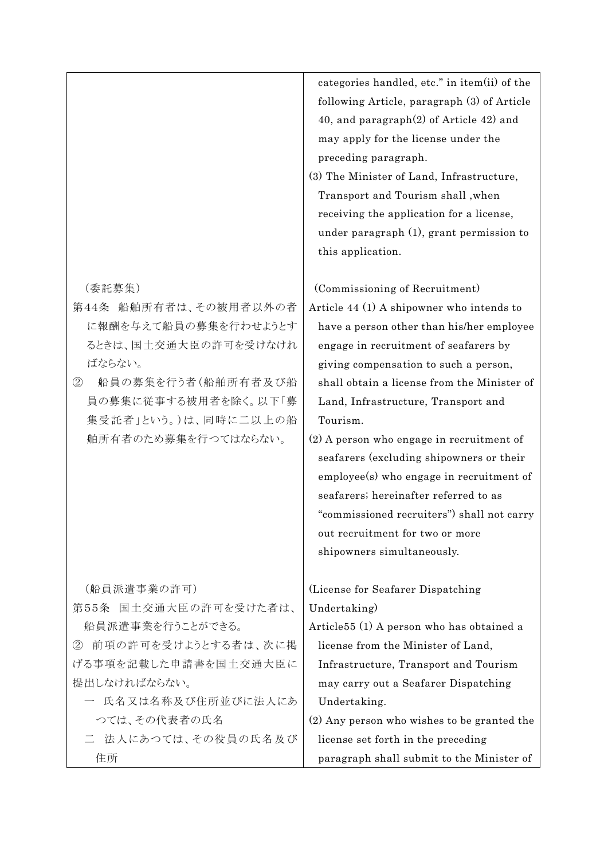|                                      | categories handled, etc." in item(ii) of the<br>following Article, paragraph (3) of Article |
|--------------------------------------|---------------------------------------------------------------------------------------------|
|                                      | 40, and paragraph $(2)$ of Article 42) and                                                  |
|                                      | may apply for the license under the                                                         |
|                                      | preceding paragraph.                                                                        |
|                                      | (3) The Minister of Land, Infrastructure,                                                   |
|                                      | Transport and Tourism shall, when                                                           |
|                                      | receiving the application for a license,                                                    |
|                                      | under paragraph (1), grant permission to                                                    |
|                                      | this application.                                                                           |
| (委託募集)                               | (Commissioning of Recruitment)                                                              |
| 第44条 船舶所有者は、その被用者以外の者                | Article 44 (1) A shipowner who intends to                                                   |
| に報酬を与えて船員の募集を行わせようとす                 | have a person other than his/her employee                                                   |
| るときは、国土交通大臣の許可を受けなけれ                 | engage in recruitment of seafarers by                                                       |
| ばならない。                               | giving compensation to such a person,                                                       |
| 船員の募集を行う者(船舶所有者及び船<br>$^{\circledR}$ | shall obtain a license from the Minister of                                                 |
| 員の募集に従事する被用者を除く。以下「募                 | Land, Infrastructure, Transport and                                                         |
| 集受託者」という。)は、同時に二以上の船                 | Tourism.                                                                                    |
| 舶所有者のため募集を行つてはならない。                  | (2) A person who engage in recruitment of                                                   |
|                                      | seafarers (excluding shipowners or their                                                    |
|                                      | employee(s) who engage in recruitment of                                                    |
|                                      | seafarers; hereinafter referred to as                                                       |
|                                      | "commissioned recruiters") shall not carry                                                  |
|                                      | out recruitment for two or more                                                             |
|                                      | shipowners simultaneously.                                                                  |
| (船員派遣事業の許可)                          | (License for Seafarer Dispatching)                                                          |
| 第55条 国土交通大臣の許可を受けた者は、                | Undertaking)                                                                                |
| 船員派遣事業を行うことができる。                     | Article <sup>55</sup> (1) A person who has obtained a                                       |
| 前項の許可を受けようとする者は、次に掲<br>(2)           | license from the Minister of Land,                                                          |
| げる事項を記載した申請書を国土交通大臣に                 | Infrastructure, Transport and Tourism                                                       |
| 提出しなければならない。                         | may carry out a Seafarer Dispatching                                                        |
| 一 氏名又は名称及び住所並びに法人にあ                  | Undertaking.                                                                                |
| つては、その代表者の氏名                         | (2) Any person who wishes to be granted the                                                 |
| 二 法人にあつては、その役員の氏名及び                  | license set forth in the preceding                                                          |
| 住所                                   | paragraph shall submit to the Minister of                                                   |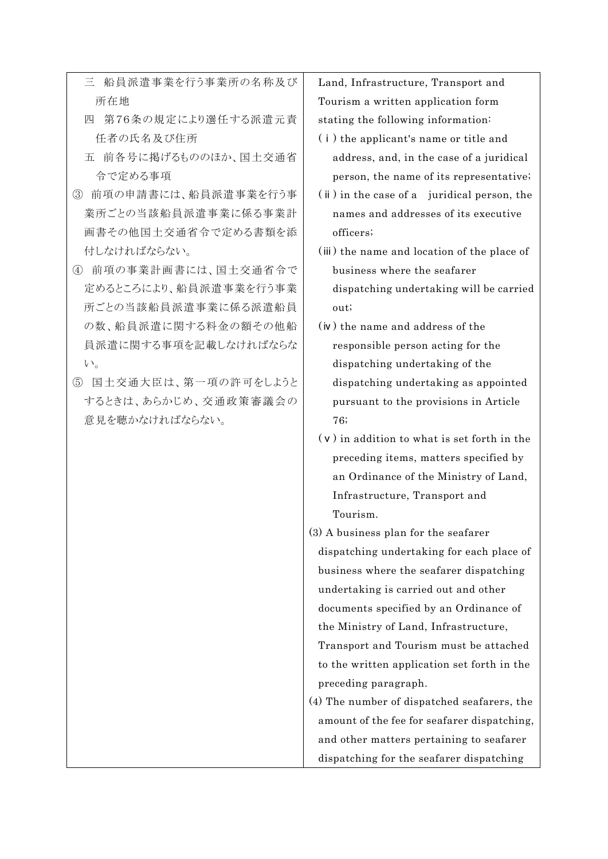- 三 船員派遣事業を行う事業所の名称及び 所在地
- 四 第76条の規定により選任する派遣元責 任者の氏名及び住所
- 五 前各号に掲げるもののほか、国土交通省 令で定める事項
- ③ 前項の申請書には、船員派遣事業を行う事 業所ごとの当該船員派遣事業に係る事業計 画書その他国土交通省令で定める書類を添 付しなければならない。
- ④ 前項の事業計画書には、国土交通省令で 定めるところにより、船員派遣事業を行う事業 所ごとの当該船員派遣事業に係る派遣船員 の数、船員派遣に関する料金の額その他船 員派遣に関する事項を記載しなければならな い。
- ⑤ 国土交通大臣は、第一項の許可をしようと するときは、あらかじめ、交通政策審議会の 意見を聴かなければならない。

Land, Infrastructure, Transport and Tourism a written application form stating the following information:

- (ⅰ) the applicant's name or title and address, and, in the case of a juridical person, the name of its representative;
- (ⅱ) in the case of a juridical person, the names and addresses of its executive officers;
- (ⅲ) the name and location of the place of business where the seafarer dispatching undertaking will be carried out;
- (ⅳ) the name and address of the responsible person acting for the dispatching undertaking of the dispatching undertaking as appointed pursuant to the provisions in Article 76;
- (ⅴ) in addition to what is set forth in the preceding items, matters specified by an Ordinance of the Ministry of Land, Infrastructure, Transport and Tourism.
- (3) A business plan for the seafarer dispatching undertaking for each place of business where the seafarer dispatching undertaking is carried out and other documents specified by an Ordinance of the Ministry of Land, Infrastructure, Transport and Tourism must be attached to the written application set forth in the preceding paragraph. (4) The number of dispatched seafarers, the
- amount of the fee for seafarer dispatching, and other matters pertaining to seafarer dispatching for the seafarer dispatching